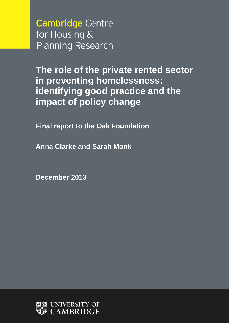**Cambridge Centre** for Housing & **Planning Research** 

**The role of the private rented sector in preventing homelessness: identifying good practice and the impact of policy change**

**Final report to the Oak Foundation**

**Anna Clarke and Sarah Monk**

**December 2013**

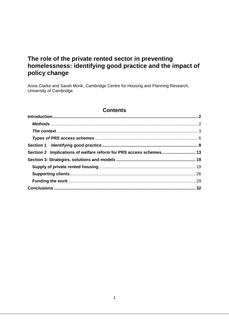# **The role of the private rented sector in preventing homelessness: identifying good practice and the impact of policy change**

Anna Clarke and Sarah Monk, Cambridge Centre for Housing and Planning Research, University of Cambridge

### **Contents**

| Section 2 Implications of welfare reform for PRS access schemes 13 |  |
|--------------------------------------------------------------------|--|
|                                                                    |  |
|                                                                    |  |
|                                                                    |  |
|                                                                    |  |
|                                                                    |  |
|                                                                    |  |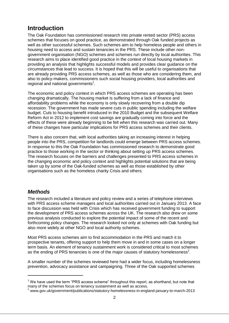# <span id="page-2-0"></span>**Introduction**

The Oak Foundation has commissioned research into private rented sector (PRS) access schemes that focuses on good practice, as demonstrated through Oak funded projects as well as other successful schemes. Such schemes aim to help homeless people and others in housing need to access and sustain tenancies in the PRS. These include other nongovernment organisation (NGO) schemes and schemes run directly by local authorities. This research aims to place identified good practice in the context of local housing markets in providing an analysis that highlights successful models and provides clear guidance on the circumstances that lead to success. It is hoped that this will be useful to organisations that are already providing PRS access schemes, as well as those who are considering them, and also to policy-makers, commissioners such social housing providers, local authorities and regional and national governments<sup>1</sup>.

The economic and policy context in which PRS access schemes are operating has been changing dramatically. The housing market is suffering from a lack of finance and affordability problems while the economy is only slowly recovering from a double dip recession. The government has made severe cuts in public spending including the welfare budget. Cuts to housing benefit introduced in the 2010 Budget and the subsequent Welfare Reform Act in 2012 to implement cost savings are gradually coming into force and the effects of these were already beginning to be felt when this research was carried out. Many of these changes have particular implications for PRS access schemes and their clients.

There is also concern that, with local authorities taking an increasing interest in helping people into the PRS, competition for landlords could emerge between PRS access schemes. In response to this the Oak Foundation has commissioned research to demonstrate good practice to those working in the sector or thinking about setting up PRS access schemes. The research focuses on the barriers and challenges presented to PRS access schemes in the changing economic and policy context and highlights potential solutions that are being taken up by some of the Oak-funded schemes as well as those established by other organisations such as the homeless charity Crisis and others.

## <span id="page-2-1"></span>*Methods*

-

The research included a literature and policy review and a series of telephone interviews with PRS access scheme managers and local authorities carried out in January 2013. A face to face discussion was held with Crisis which has received government funding to support the development of PRS access schemes across the UK. The research also drew on some previous analysis conducted to explore the potential impact of some of the recent and forthcoming policy changes. The research looked not only at schemes with Oak funding but also more widely at other NGO and local authority schemes.

Most PRS access schemes aim to find accommodation in the PRS and match it to prospective tenants, offering support to help them move in and in some cases on a longer term basis. An element of tenancy sustainment work is considered critical to most schemes as the ending of PRS tenancies is one of the major causes of statutory homelessness<sup>2</sup>.

A smaller number of the schemes reviewed here had a wider focus, including homelessness prevention, advocacy assistance and campaigning. Three of the Oak supported schemes

 $<sup>1</sup>$  We have used the term "PRS access scheme" throughout this report, as shorthand, but note that</sup> many of the schemes focus on tenancy sustainment as well as access.

<sup>2</sup> www.gov.uk/government/publications/statutory-homelessness-in-england-january-to-march-2013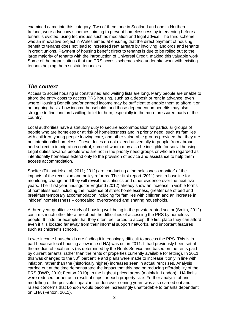examined came into this category. Two of them, one in Scotland and one in Northern Ireland, were advocacy schemes, aiming to prevent homelessness by intervening before a tenant is evicted, using techniques such as mediation and legal advice. The third scheme was an innovative project in Wales aimed at ensuring that the direct payment of housing benefit to tenants does not lead to increased rent arrears by involving landlords and tenants in credit unions. Payment of housing benefit direct to tenants is due to be rolled out to the large majority of tenants with the introduction of Universal Credit, making this valuable work. Some of the organisations that run PRS access schemes also undertake work with existing tenants helping them sustain tenancies.

### <span id="page-3-0"></span>*The context*

Access to social housing is constrained and waiting lists are long. Many people are unable to afford the entry costs to access PRS housing, such as a deposit or rent in advance, even where Housing Benefit and/or earned income may be sufficient to enable them to afford it on an ongoing basis. Low income households and those dependent on benefits may also struggle to find landlords willing to let to them, especially in the more pressured parts of the country.

Local authorities have a statutory duty to secure accommodation for particular groups of people who are homeless or at risk of homelessness and in priority need, such as families with children, young people leaving care, and other vulnerable groups provided that they are not intentionally homeless. These duties do not extend universally to people from abroad and subject to immigration control, some of whom may also be ineligible for social housing. Legal duties towards people who are not in the priority need groups or who are regarded as intentionally homeless extend only to the provision of advice and assistance to help them access accommodation.

Shelter (Fitzpatrick et al, 2011; 2012) are conducting a 'homelessness monitor' of the impacts of the recession and policy reforms. Their first report (2011) sets a baseline for monitoring change and they will revisit the statistics and other evidence over the next five years. Their first year findings for England (2012) already show an increase in visible forms of homelessness including the incidence of street homelessness, greater use of bed and breakfast temporary accommodation including for families with children and an increase in 'hidden' homelessness – concealed, overcrowded and sharing households.

A three year qualitative study of housing well-being in the private rented sector (Smith, 2012) confirms much other literature about the difficulties of accessing the PRS by homeless people. It finds for example that they often feel forced to accept the first place they can afford even if it is located far away from their informal support networks, and important features such as children's schools.

Lower income households are finding it increasingly difficult to access the PRS. This is in part because local housing allowance (LHA) was cut in 2011. It had previously been set at the median of local rents (as determined by the Rents Service and based on the rents paid by current tenants, rather than the rents of properties currently available for letting). In 2011 this was changed to the  $30<sup>th</sup>$  percentile and plans were made to increase it only in line with inflation, rather than the (historically higher) increases seen in actual rent rises. Analysis carried out at the time demonstrated the impact that this had on reducing affordability of the PRS (DWP, 2010; Fenton 2010). In the highest priced areas (mainly in London) LHA limits were reduced further as a result of caps for each property size. Further analysis of and modelling of the possible impact in London over coming years was also carried out and raised concerns that London would become increasingly unaffordable to tenants dependent on LHA (Fenton, 2011).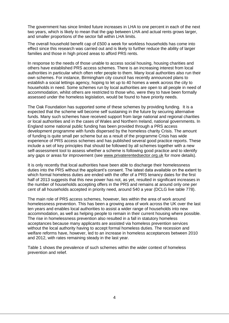The government has since limited future increases in LHA to one percent in each of the next two years, which is likely to mean that the gap between LHA and actual rents grows larger, and smaller proportions of the sector fall within LHA limits.

The overall household benefit cap of £500 a week for workless households has come into effect since this research was carried out and is likely to further reduce the ability of larger families and those in high priced areas to afford PRS rents.

In response to the needs of those unable to access social housing, housing charities and others have established PRS access schemes. There is an increasing interest from local authorities in particular which often refer people to them. Many local authorities also run their own schemes. For instance, Birmingham city council has recently announced plans to establish a social lettings agency, hoping to let up to 40 homes a week across the city to households in need. Some schemes run by local authorities are open to all people in need of accommodation, whilst others are restricted to those who, were they to have been formally assessed under the homeless legislation, would be found to have priority needs.

The Oak Foundation has supported some of these schemes by providing funding*.* It is a expected that the scheme will become self sustaining in the future by securing alternative funds. Many such schemes have received support from large national and regional charities or local authorities and in the cases of Wales and Northern Ireland, national governments. In England some national public funding has been provided through a PRS access development programme with funds dispersed by the homeless charity Crisis. The amount of funding is quite small per scheme but as a result of the programme Crisis has wide experience of PRS access schemes and has published several good practice reports. These include a set of key principles that should be followed by all schemes together with a new self-assessment tool to assess whether a scheme is following good practice and to identify any gaps or areas for improvement (see [www.privaterentedsector.org.uk](http://www.privaterentedsector.org.uk/) for more details).

It is only recently that local authorities have been able to discharge their homelessness duties into the PRS without the applicant's consent. The latest data available on the extent to which formal homeless duties are ended with the offer of a PRS tenancy dates for the first half of 2013 suggests that this new power has not, as yet, resulted in significant increases in the number of households accepting offers in the PRS and remains at around only one per cent of all households accepted in priority need, around 540 a year (DCLG live table 778).

The main role of PRS access schemes, however, lies within the area of work around homelessness prevention. This has been a growing area of work across the UK over the last ten years and enables local authorities to assist a wider range of households into new accommodation, as well as helping people to remain in their current housing where possible. The rise in homelessness prevention also resulted in a fall in statutory homeless acceptances because many applicants are assisted via homeless prevention services without the local authority having to accept formal homeless duties. The recession and welfare reforms have, however, led to an increase in homeless acceptances between 2010 and 2012, with rates remaining steady in the last year.

Table 1 shows the prevalence of such schemes within the wider context of homeless prevention and relief.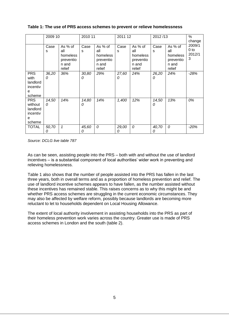|                                                              | 2009 10    |                                                            | 2010 11    |                                                            | 2011 12    |                                                            | 2012/13    |                                                            | $\%$<br>change                           |
|--------------------------------------------------------------|------------|------------------------------------------------------------|------------|------------------------------------------------------------|------------|------------------------------------------------------------|------------|------------------------------------------------------------|------------------------------------------|
|                                                              | Case<br>s  | As % of<br>all<br>homeless<br>preventio<br>n and<br>relief | Case<br>S  | As % of<br>all<br>homeless<br>preventio<br>n and<br>relief | Case<br>S  | As % of<br>all<br>homeless<br>preventio<br>n and<br>relief | Case<br>s  | As % of<br>all<br>homeless<br>preventio<br>n and<br>relief | 2009/1<br>0 <sub>to</sub><br>2012/1<br>3 |
| <b>PRS</b><br>with<br>landlord<br>incentiv<br>е<br>scheme    | 36,20<br>0 | 36%                                                        | 30,80<br>0 | 29%                                                        | 27,60<br>0 | 24%                                                        | 26,20<br>0 | 24%                                                        | $-28%$                                   |
| <b>PRS</b><br>without<br>landlord<br>incentiv<br>е<br>scheme | 14,50<br>0 | 14%                                                        | 14,80<br>0 | 14%                                                        | 1,400      | 12%                                                        | 14,50<br>0 | 13%                                                        | 0%                                       |
| <b>TOTAL</b>                                                 | 50,70<br>0 | 1                                                          | 45,60<br>0 | $\mathcal{O}$                                              | 29,00<br>0 | 0                                                          | 40,70<br>0 | 0                                                          | $-20%$                                   |

#### **Table 1: The use of PRS access schemes to prevent or relieve homelessness**

*Source: DCLG live table 787*

As can be seen, assisting people into the PRS – both with and without the use of landlord incentives – is a substantial component of local authorities' wider work in preventing and relieving homelessness.

Table 1 also shows that the number of people assisted into the PRS has fallen in the last three years, both in overall terms and as a proportion of homeless prevention and relief. The use of landlord incentive schemes appears to have fallen, as the number assisted without these incentives has remained stable. This raises concerns as to why this might be and whether PRS access schemes are struggling in the current economic circumstances. They may also be affected by welfare reform, possibly because landlords are becoming more reluctant to let to households dependent on Local Housing Allowance.

The extent of local authority involvement in assisting households into the PRS as part of their homeless prevention work varies across the country. Greater use is made of PRS access schemes in London and the south (table 2).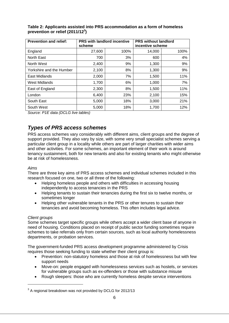| <b>Prevention and relief:</b> | <b>PRS with landlord incentive</b><br>scheme |      | <b>PRS without landlord</b><br>incentive scheme |      |
|-------------------------------|----------------------------------------------|------|-------------------------------------------------|------|
| England                       | 27,600                                       | 100% | 14,000                                          | 100% |
| North East                    | 700                                          | 3%   | 600                                             | 4%   |
| North West                    | 2,400                                        | 9%   | 1,300                                           | 9%   |
| Yorkshire and the Humber      | 2,100                                        | 8%   | 1,300                                           | 9%   |
| East Midlands                 | 2,000                                        | 7%   | 1,500                                           | 11%  |
| <b>West Midlands</b>          | 1,700                                        | 6%   | 1,000                                           | 7%   |
| East of England               | 2,300                                        | 8%   | 1,500                                           | 11%  |
| London                        | 6,400                                        | 23%  | 2,100                                           | 15%  |
| South East                    | 5,000                                        | 18%  | 3,000                                           | 21%  |
| South West                    | 5,000                                        | 18%  | 1,700                                           | 12%  |

#### **Table 2: Applicants assisted into PRS accommodation as a form of homeless prevention or relief (2011/12<sup>3</sup> )**

*Source: P1E data (DCLG live tables)*

## <span id="page-6-0"></span>*Types of PRS access schemes*

PRS access schemes vary considerably with different aims, client groups and the degree of support provided. They also vary by size, with some very small specialist schemes serving a particular client group in a locality while others are part of larger charities with wider aims and other activities. For some schemes, an important element of their work is around tenancy sustainment, both for new tenants and also for existing tenants who might otherwise be at risk of homelessness.

#### *Aims*

There are three key aims of PRS access schemes and individual schemes included in this research focused on one, two or all three of the following:

- Helping homeless people and others with difficulties in accessing housing independently to access tenancies in the PRS
- Helping tenants to sustain their tenancies during the first six to twelve months, or sometimes longer
- Helping other vulnerable tenants in the PRS or other tenures to sustain their tenancies and avoid becoming homeless. This often includes legal advice.

#### *Client groups*

-

Some schemes target specific groups while others accept a wider client base of anyone in need of housing. Conditions placed on receipt of public sector funding sometimes require schemes to take referrals only from certain sources, such as local authority homelessness departments, or probation services.

The government-funded PRS access development programme administered by Crisis requires those seeking funding to state whether their client group is:

- Prevention: non-statutory homeless and those at risk of homelessness but with few support needs
- Move-on: people engaged with homelessness services such as hostels, or services for vulnerable groups such as ex-offenders or those with substance misuse
- Rough sleepers: those who are currently homeless despite service interventions

 $3$  A regional breakdown was not provided by DCLG for 2012/13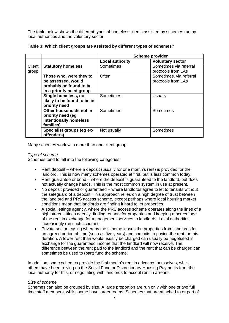The table below shows the different types of homeless clients assisted by schemes run by local authorities and the voluntary sector.

|                 |                                                                                                      | <b>Scheme provider</b> |                                               |  |
|-----------------|------------------------------------------------------------------------------------------------------|------------------------|-----------------------------------------------|--|
|                 |                                                                                                      | <b>Local authority</b> | <b>Voluntary sector</b>                       |  |
| Client<br>group | <b>Statutory homeless</b>                                                                            | Sometimes              | Sometimes via referral<br>protocols from LAs  |  |
|                 | Those who, were they to<br>be assessed, would<br>probably be found to be<br>in a priority need group | Often                  | Sometimes, via referral<br>protocols from LAs |  |
|                 | Single homeless, not<br>likely to be found to be in<br>priority need                                 | Sometimes              | Usually                                       |  |
|                 | Other households not in<br>priority need (eg<br>intentionally homeless<br>families)                  | Sometimes              | Sometimes                                     |  |
|                 | Specialist groups (eg ex-<br>offenders)                                                              | Not usually            | Sometimes                                     |  |

|  | Table 3: Which client groups are assisted by different types of schemes? |  |
|--|--------------------------------------------------------------------------|--|
|  |                                                                          |  |

Many schemes work with more than one client group.

#### *Type of scheme*

Schemes tend to fall into the following categories:

- Rent deposit where a deposit (usually for one month's rent) is provided for the landlord. This is how many schemes operated at first, but is less common today.
- Rent guarantee or bond where the deposit is guaranteed to the landlord, but does not actually change hands. This is the most common system in use at present.
- No deposit provided or guaranteed where landlords agree to let to tenants without the safeguard of a deposit. This approach relies on a high degree of trust between the landlord and PRS access scheme, except perhaps where local housing market conditions mean that landlords are finding it hard to let properties.
- A social lettings agency, where the PRS access scheme operates along the lines of a high street lettings agency, finding tenants for properties and keeping a percentage of the rent in exchange for management services to landlords. Local authorities increasingly run such schemes.
- Private sector leasing whereby the scheme leases the properties from landlords for an agreed period of time (such as five years) and commits to paying the rent for this duration. A lower rent than would usually be charged can usually be negotiated in exchange for the guaranteed income that the landlord will now receive. The difference between the rent paid to the landlord and the rent that can be charged can sometimes be used to (part) fund the scheme.

In addition, some schemes provide the first month's rent in advance themselves, whilst others have been relying on the Social Fund or Discretionary Housing Payments from the local authority for this, or negotiating with landlords to accept rent in arrears.

#### *Size of scheme*

Schemes can also be grouped by size. A large proportion are run only with one or two full time staff members, whilst some have larger teams. Schemes that are attached to or part of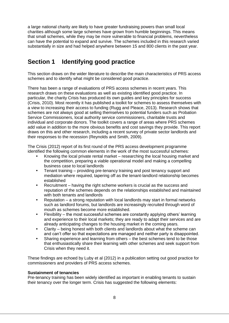a large national charity are likely to have greater fundraising powers than small local charities although some large schemes have grown from humble beginnings. This means that small schemes, while they may be more vulnerable to financial problems, nevertheless can have the potential to expand and survive. The schemes included in this research varied substantially in size and had helped anywhere between 15 and 800 clients in the past year.

# <span id="page-8-0"></span>**Section 1 Identifying good practice**

This section draws on the wider literature to describe the main characteristics of PRS access schemes and to identify what might be considered good practice.

There has been a range of evaluations of PRS access schemes in recent years. This research draws on these evaluations as well as existing identified good practice. In particular, the charity Crisis has produced its own guides and key principles for success (Crisis, 2010). Most recently it has published a toolkit for schemes to assess themselves with a view to increasing their access to funding (Rugg and Pleace, 2013). Research shows that schemes are not always good at selling themselves to potential funders such as Probation Service Commissioners, local authority service commissioners, charitable trusts and individual and corporate donors. The toolkit covers a range of areas where PRS schemes add value in addition to the more obvious benefits and cost savings they provide. This report draws on this and other research, including a recent survey of private sector landlords and their responses to the recession (Reynolds and Smith, 2009).

The Crisis (2012) report of its first round of the PRS access development programme identified the following common elements in the work of the most successful schemes:

- Knowing the local private rental market researching the local housing market and the competition, preparing a viable operational model and making a compelling business case to local landlords
- Tenant training providing pre-tenancy training and post tenancy support and mediation where required, tapering off as the tenant-landlord relationship becomes established
- Recruitment having the right scheme workers is crucial as the success and reputation of the schemes depends on the relationships established and maintained with both tenants and landlords
- Reputation a strong reputation with local landlords may start in formal networks such as landlord forums, but landlords are increasingly recruited through word of mouth as schemes become more established.
- Flexibility the most successful schemes are constantly applying others' learning and experience to their local markets; they are ready to adapt their services and are already anticipating changes to the housing market in the coming years.
- Clarity being honest with both clients and landlords about what the scheme can and can't offer so that expectations are managed and neither party is disappointed.
- Sharing experience and learning from others the best schemes tend to be those that enthusiastically share their learning with other schemes and seek support from Crisis when they need it.

These findings are echoed by Luby et al (2012) in a publication setting out good practice for commissioners and providers of PRS access schemes.

#### **Sustainment of tenancies**

Pre-tenancy training has been widely identified as important in enabling tenants to sustain their tenancy over the longer term. Crisis has suggested the following elements: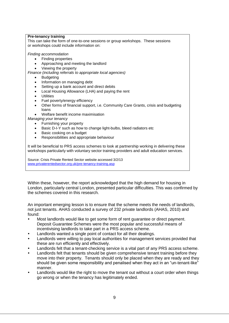#### **Pre-tenancy training**

This can take the form of one-to-one sessions or group workshops. These sessions or workshops could include information on:

*Finding accommodation*

- Finding properties
- Approaching and meeting the landlord
- Viewing the property
- *Finance (including referrals to appropriate local agencies)*
	- Budgeting
	- Information on managing debt
	- Setting up a bank account and direct debits
	- Local Housing Allowance (LHA) and paying the rent
	- **Utilities**
	- Fuel poverty/energy efficiency
	- Other forms of financial support, i.e. Community Care Grants, crisis and budgeting loans
	- Welfare benefit income maximisation
- *Managing your tenancy*
	- Furnishing your property
	- Basic D-I-Y such as how to change light-bulbs, bleed radiators etc
	- Basic cooking on a budget
	- Responsibilities and appropriate behaviour

It will be beneficial to PRS access schemes to look at partnership working in delivering these workshops particularly with voluntary sector training providers and adult education services.

Source: Crisis Private Rented Sector website accessed 3/2/13 [www.privaterentedsector.org.uk/pre-tenancy-training.asp](http://www.privaterentedsector.org.uk/pre-tenancy-training.asp)

Within these, however, the report acknowledged that the high demand for housing in London, particularly central London, presented particular difficulties. This was confirmed by the schemes covered in this research.

An important emerging lesson is to ensure that the scheme meets the needs of landlords, not just tenants. AHAS conducted a survey of 232 private landlords (AHAS, 2010) and found:

- Most landlords would like to get some form of rent guarantee or direct payment. Deposit Guarantee Schemes were the most popular and successful means of incentivising landlords to take part in a PRS access scheme.
- Landlords wanted a single point of contact for all their dealings.
- Landlords were willing to pay local authorities for management services provided that these are run efficiently and effectively.
- Landlords felt that a tenant-checking service is a vital part of any PRS access scheme.
- Landlords felt that tenants should be given comprehensive tenant training before they move into their property. Tenants should only be placed when they are ready and they should be given some responsibility and penalised when they act in an "un-tenant-like" manner.
- Landlords would like the right to move the tenant out without a court order when things go wrong or when the tenancy has legitimately ended.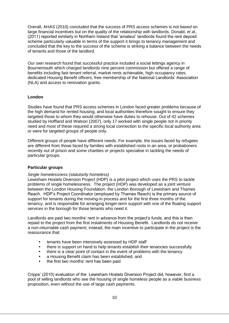Overall, AHAS (2010) concluded that the success of PRS access schemes is not based on large financial incentives but on the quality of the relationship with landlords. Donald, *et al*., (2011) reported similarly in Northern Ireland that 'amateur' landlords found the rent deposit scheme particularly valuable in terms of the support it brings to tenancy management and concluded that the key to the success of the scheme is striking a balance between the needs of tenants and those of the landlord.

Our own research found that successful practice included a social lettings agency in Bournemouth which charged landlords nine percent commission but offered a range of benefits including fast tenant referral, market rents achievable, high occupancy rates, dedicated Housing Benefit officers, free membership of the National Landlords' Association (NLA) and access to renovation grants.

#### **London**

Studies have found that PRS access schemes in London faced greater problems because of the high demand for rented housing, and local authorities therefore sought to ensure they targeted those to whom they would otherwise have duties to rehouse. Out of 42 schemes studied by Hoffland and Watson (2007), only 17 worked with single people not in priority need and most of these required a strong local connection to the specific local authority area or were for targeted groups of people only.

Different groups of people have different needs. For example, the issues faced by refugees are different from those faced by families with established roots in an area, or probationers recently out of prison and some charities or projects specialise in tackling the needs of particular groups.

#### **Particular groups**

#### *Single homelessness (statutorily homeless)*

Lewisham Hostels Diversion Project (HDP) is a pilot project which uses the PRS to tackle problems of single homelessness. The project (HDP) was developed as a joint venture between the London Housing Foundation, the London Borough of Lewisham and Thames Reach. HDP's Project Coordinator (employed by Thames Reach) is the primary source of support for tenants during the moving-in process and for the first three months of the tenancy, and is responsible for arranging longer-term support with one of the floating support services in the borough for those tenants who need it.

Landlords are paid two months' rent in advance from the project's funds, and this is then repaid to the project from the first instalments of Housing Benefit. Landlords do not receive a non-returnable cash payment; instead, the main incentive to participate in the project is the reassurance that:

- tenants have been intensively assessed by HDP staff
- there is support on hand to help tenants establish their tenancies successfully
- there is a clear point of contact in the event of problems with the tenancy
- a Housing Benefit claim has been established, and
- the first two months' rent has been paid

Cripps' (2010) evaluation of the Lewisham Hostels Diversion Project did, however, find a pool of willing landlords who see the housing of single homeless people as a viable business proposition, even without the use of large cash payments.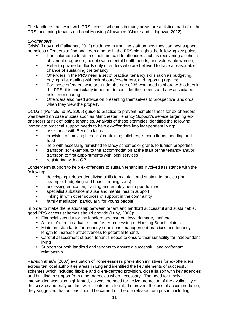The landlords that work with PRS access schemes in many areas are a distinct part of of the PRS, accepting tenants on Local Housing Allowance (Clarke and Udagawa, 2012).

#### *Ex-offenders*

Crisis' (Luby and Gallagher, 2012) guidance to frontline staff on how they can best support homeless offenders to find and keep a home in the PRS highlights the following key points:

- Particular consideration should be paid to offenders such as recovering alcoholics, abstinent drug users, people with mental health needs, and vulnerable women;
- Refer to private landlords only offenders who are believed to have a reasonable chance of sustaining the tenancy;
- Offenders in the PRS need a set of practical tenancy skills such as budgeting, paying bills, dealing with neighbours/co-sharers, and reporting repairs;
- For those offenders who are under the age of 35 who need to share with others in the PRS, it is particularly important to consider their needs and any associated risks from sharing;
- Offenders also need advice on presenting themselves to prospective landlords when they view the property.

DCLG's (Penfold, *et al*., 2009) guide to practice to prevent homelessness for ex-offenders was based on case studies such as Manchester Tenancy Support's service targeting exoffenders at risk of losing tenancies. Analysis of these examples identified the following immediate practical support needs to help ex-offenders into independent living:

- assistance with Benefit claims
- provision of 'moving in packs' containing toiletries, kitchen items, bedding and food
- help with accessing furnished tenancy schemes or grants to furnish properties
- transport (for example, to the accommodation at the start of the tenancy and/or transport to first appointments with local services)
- registering with a GP.

Longer-term support to help ex-offenders to sustain tenancies involved assistance with the following:

- developing independent living skills to maintain and sustain tenancies (for example, budgeting and housekeeping skills)
- accessing education, training and employment opportunities
- specialist substance misuse and mental health support
- linking in with other sources of support in the community
- family mediation (particularly for young people).

In order to make the relationship between tenant and landlord successful and sustainable, good PRS access schemes should provide (Luby, 2008):

- Financial security for the landlord against rent loss, damage, theft etc.
- A month's rent in advance and faster processing of Housing Benefit claims
- Minimum standards for property conditions, management practices and tenancy length to increase attractiveness to potential tenants
- Careful assessment of each tenant's needs to ensure their suitability for independent living
- Support for both landlord and tenants to ensure a successful landlord/tenant relationship

Pawson *et al*.'s (2007) evaluation of homelessness prevention initiatives for ex-offenders across ten local authorities areas in England identified the key elements of successful schemes which included flexible and client-centred provision, close liaison with key agencies and building in support from other agencies when necessary. The need for timely intervention was also highlighted, as was the need for active promotion of the availability of the service and early contact with clients on referral. To prevent the loss of accommodation, they suggested that actions should be carried out before release from prison, including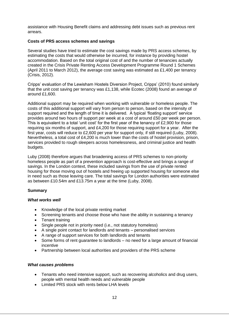assistance with Housing Benefit claims and addressing debt issues such as previous rent arrears.

#### **Costs of PRS access schemes and savings**

Several studies have tried to estimate the cost savings made by PRS access schemes, by estimating the costs that would otherwise be incurred, for instance by providing hostel accommodation. Based on the total original cost of and the number of tenancies actually created in the Crisis Private Renting Access Development Programme Round 1 Schemes (April 2011 to March 2012), the average cost saving was estimated as £1,400 per tenancy (Crisis, 2012).

Cripps' evaluation of the Lewisham Hostels Diversion Project, Cripps' (2010) found similarly that the unit cost saving per tenancy was £1,138, while Ecotec (2008) found an average of around £1,600.

Additional support may be required when working with vulnerable or homeless people. The costs of this additional support will vary from person to person, based on the intensity of support required and the length of time it is delivered. A typical 'floating support' service provides around two hours of support per week at a cost of around £50 per week per person. This is equivalent to a total 'unit cost' for the first year of the tenancy of £2,900 for those requiring six months of support, and £4,200 for those requiring support for a year. After the first year, costs will reduce to £2,600 per year for support only, if still required (Luby, 2008). Nevertheless, a total cost of £4,200 is much lower than the costs of hostel provision, prison, services provided to rough sleepers across homelessness, and criminal justice and health budgets.

Luby (2008) therefore argues that broadening access of PRS schemes to non-priority homeless people as part of a prevention approach is cost-effective and brings a range of savings. In the London context, these included savings from the use of private rented housing for those moving out of hostels and freeing up supported housing for someone else in need such as those leaving care. The total savings for London authorities were estimated as between £10.54m and £13.75m a year at the time (Luby, 2008).

#### **Summary**

#### *What works well*

- Knowledge of the local private renting market
- Screening tenants and choose those who have the ability in sustaining a tenancy
- Tenant training
- Single people not in priority need (i.e., not statutory homeless)
- A single point contact for landlords and tenants personalised services
- A range of support services for both landlords and tenants
- Some forms of rent guarantee to landlords no need for a large amount of financial incentive
- Partnership between local authorities and providers of the PRS scheme

#### *What causes problems*

- Tenants who need intensive support, such as recovering alcoholics and drug users, people with mental health needs and vulnerable people
- **.** Limited PRS stock with rents below LHA levels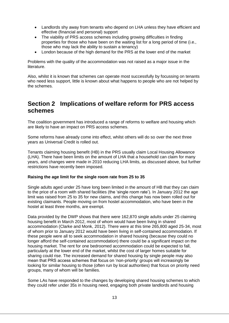- Landlords shy away from tenants who depend on LHA unless they have efficient and effective (financial and personal) support
- The viability of PRS access schemes including growing difficulties in finding properties for those who have been on the waiting list for a long period of time (i.e., those who may lack the ability to sustain a tenancy)
- London because of the high demand for the PRS at the lower end of the market

Problems with the quality of the accommodation was not raised as a major issue in the literature.

Also, whilst it is known that schemes can operate most successfully by focussing on tenants who need less support, little is known about what happens to people who are not helped by the schemes.

## <span id="page-13-0"></span>**Section 2 Implications of welfare reform for PRS access schemes**

The coalition government has introduced a range of reforms to welfare and housing which are likely to have an impact on PRS access schemes.

Some reforms have already come into effect, whilst others will do so over the next three years as Universal Credit is rolled out.

Tenants claiming housing benefit (HB) in the PRS usually claim Local Housing Allowance (LHA). There have been limits on the amount of LHA that a household can claim for many years, and changes were made in 2010 reducing LHA limits, as discussed above, but further restrictions have recently been imposed.

#### **Raising the age limit for the single room rate from 25 to 35**

Single adults aged under 25 have long been limited in the amount of HB that they can claim to the price of a room with shared facilities (the 'single room rate'). In January 2012 the age limit was raised from 25 to 35 for new claims, and this change has now been rolled out for existing claimants. People moving on from hostel accommodation, who have been in the hostel at least three months, are exempt.

Data provided by the DWP shows that there were 162,870 single adults under 25 claiming housing benefit in March 2012, most of whom would have been living in shared accommodation (Clarke and Monk, 2012). There were at this time 265,800 aged 25-34, most of whom prior to January 2012 would have been living in self-contained accommodation. If these people were all to seek accommodation in shared housing (because they could no longer afford the self-contained accommodation) there could be a significant impact on the housing market. The rent for one bedroomed accommodation could be expected to fall, particularly at the lower end of the market, whilst the cost of larger homes suitable for sharing could rise. The increased demand for shared housing by single people may also mean that PRS access schemes that focus on 'non-priority' groups will increasingly be looking for similar housing to those (often run by local authorities) that focus on priority need groups, many of whom will be families.

Some LAs have responded to the changes by developing shared housing schemes to which they could refer under 35s in housing need, engaging both private landlords and housing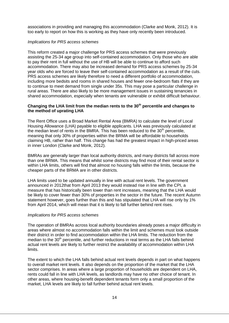associations in providing and managing this accommodation (Clarke and Monk, 2012). It is too early to report on how this is working as they have only recently been introduced.

#### *Implications for PRS access schemes*

This reform created a major challenge for PRS access schemes that were previously assisting the 25-34 age group into self-contained accommodation. Only those who are able to pay their rent in full without the use of HB will be able to continue to afford such accommodation. There may also be increased demand for PRS access schemes by 25-34 year olds who are forced to leave their self-contained accommodation as a result of the cuts. PRS access schemes are likely therefore to need a different portfolio of accommodation, including more bedsits and rooms in shared houses and fewer one-bedroom flats if they are to continue to meet demand from single under 35s. This may pose a particular challenge in rural areas. There are also likely to be more management issues in sustaining tenancies in shared accommodation, especially when tenants are vulnerable or exhibit difficult behaviour.

#### **Changing the LHA limit from the median rents to the 30th percentile and changes to the method of uprating LHA**

The Rent Office uses a Broad Market Rental Area (BMRA) to calculate the level of Local Housing Allowance (LHA) payable to eligible applicants. LHA was previously calculated at the median level of rents in the BMRA. This has been reduced to the  $30<sup>th</sup>$  percentile, meaning that only 30% of properties within the BRMA will be affordable to households claiming HB, rather than half. This change has had the greatest impact in high-priced areas in inner London (Clarke and Monk, 2012).

BMRAs are generally larger than local authority districts, and many districts fall across more than one BRMA. This means that whilst some districts may find most of their rental sector is within LHA limits, others will find that almost no housing falls within the limits, because the cheaper parts of the BRMA are in other districts.

LHA limits used to be updated annually in line with actual rent levels. The government announced in 2012that from April 2013 they would instead rise in line with the CPI, a measure that has historically been lower than rent increases, meaning that the LHA would be likely to cover fewer than 30% of properties in the sector in the future. The recent Autumn statement however, goes further than this and has stipulated that LHA will rise only by 1% from April 2014, which will mean that it is likely to fall further behind rent rises.

#### *Implications for PRS access schemes*

The operation of BMRAs across local authority boundaries already poses a major difficulty in areas where almost no accommodation falls within the limit and schemes must look outside their district in order to find accommodation within the LHA limits. The reduction from the median to the  $30<sup>th</sup>$  percentile, and further reductions in real terms as the LHA falls behind actual rent levels are likely to further restrict the availability of accommodation within LHA limits.

The extent to which the LHA falls behind actual rent levels depends in part on what happens to overall market rent levels. It also depends on the proportion of the market that the LHA sector comprises. In areas where a large proportion of households are dependent on LHA, rents could fall in line with LHA levels, as landlords may have no other choice of tenant. In other areas, where housing-benefit dependent tenants form only a small proportion of the market, LHA levels are likely to fall further behind actual rent levels.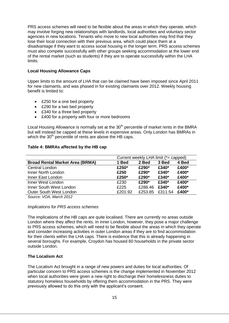PRS access schemes will need to be flexible about the areas in which they operate, which may involve forging new relationships with landlords, local authorities and voluntary sector agencies in new locations. Tenants who move to new local authorities may find that they lose their local connection with their previous area, which could place them at a disadvantage if they want to access social housing in the longer term. PRS access schemes must also compete successfully with other groups seeking accommodation at the lower end of the rental market (such as students) if they are to operate successfully within the LHA limits.

#### **Local Housing Allowance Caps**

Upper limits to the amount of LHA that can be claimed have been imposed since April 2011 for new claimants, and was phased in for existing claimants over 2012. Weekly housing benefit is limited to:

- £250 for a one bed property
- £290 for a two bed property
- £340 for a three bed property
- £400 for a property with four or more bedrooms

Local Housing Allowance is normally set at the  $30<sup>th</sup>$  percentile of market rents in the BMRA but will instead be capped at these levels in expensive areas. Only London has BMRAs in which the 30<sup>th</sup> percentile of rents are above the HB caps.

#### **Table 4: BMRAs affected by the HB cap**

|                                        |         | Current weekly LHA limit (*= capped) |         |       |  |
|----------------------------------------|---------|--------------------------------------|---------|-------|--|
| <b>Broad Rental Market Area (BRMA)</b> | 1 Bed   | 2 Bed                                | 3 Bed   | 4 Bed |  |
| Central London                         | £250*   | £290*                                | £340*   | £400* |  |
| Inner North London                     | £250    | £290*                                | £340*   | £400* |  |
| Inner East London                      | £250*   | £290*                                | £340*   | £400* |  |
| Inner West London                      | £230    | £290*                                | £340*   | £400* |  |
| Inner South West London                | £225    | £288.46                              | £340*   | £400* |  |
| <b>Outer South West London</b>         | £201.92 | £253.85                              | £311.54 | £400* |  |
|                                        |         |                                      |         |       |  |

*Source: VOA, March 2012*

#### *Implications for PRS access schemes*

The implications of the HB caps are quite localised. There are currently no areas outside London where they affect the rents. In inner London, however, they pose a major challenge to PRS access schemes, which will need to be flexible about the areas in which they operate and consider increasing activities in outer London areas if they are to find accommodation for their clients within the LHA caps. There is evidence that this is already happening in several boroughs. For example, Croydon has housed 60 households in the private sector outside London.

#### **The Localism Act**

The Localism Act brought in a range of new powers and duties for local authorities. Of particular concern to PRS access schemes is the change implemented in November 2012 when local authorities were given a new right to discharge their homelessness duties to statutory homeless households by offering them accommodation in the PRS. They were previously allowed to do this only with the applicant's consent.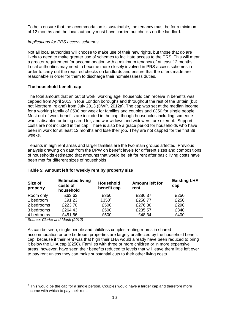To help ensure that the accommodation is sustainable, the tenancy must be for a minimum of 12 months and the local authority must have carried out checks on the landlord.

#### *Implications for PRS access schemes*

Not all local authorities will choose to make use of their new rights, but those that do are likely to need to make greater use of schemes to facilitate access to the PRS. This will mean a greater requirement for accommodation with a minimum tenancy of at least 12 months. Local authorities may need to become more closely involved in PRS access schemes in order to carry out the required checks on landlords and ensure that the offers made are reasonable in order for them to discharge their homelessness duties.

#### **The household benefit cap**

The total amount that an out of work, working age, household can receive in benefits was capped from April 2013 in four London boroughs and throughout the rest of the Britain (but not Northern Ireland) from July 2013 (DWP, 2012a). The cap was set at the median income for a working family of £500 per week for families and couples and £350 for single people. Most out of work benefits are included in the cap, though households including someone who is disabled or being cared for, and war widows and widowers, are exempt. Support costs are not included in the cap. There is also be a grace period for households who have been in work for at least 12 months and lose their job. They are not capped for the first 39 weeks.

Tenants in high rent areas and larger families are the two main groups affected. Previous analysis drawing on data from the DPW on benefit levels for different sizes and compositions of households estimated that amounts that would be left for rent after basic living costs have been met for different sizes of households:

| Size of<br>property | <b>Estimated living</b><br>costs of<br>household | <b>Household</b><br>benefit cap | <b>Amount left for</b><br>rent | <b>Existing LHA</b><br>cap |
|---------------------|--------------------------------------------------|---------------------------------|--------------------------------|----------------------------|
| Room only           | £63.63                                           | £350                            | £286.37                        | £250                       |
| 1 bedroom           | £91.23                                           | £350 $4$                        | £258.77                        | £250                       |
| 2 bedrooms          | £223.70                                          | £500                            | £276.30                        | £290                       |
| 3 bedrooms          | £264.43                                          | £500                            | £235.57                        | £340                       |
| 4 bedrooms          | £451.66                                          | £500                            | £48.34                         | £400                       |
|                     | 1 1 1 1 1 2 2 1 2 1                              |                                 |                                |                            |

#### **Table 5: Amount left for weekly rent by property size**

*Source: Clarke and Monk (2012)*

-

As can be seen, single people and childless couples renting rooms in shared accommodation or one bedroom properties are largely unaffected by the household benefit cap, because if their rent was that high their LHA would already have been reduced to bring it below the LHA cap (£250). Families with three or more children or in more expensive areas, however, have seen their benefits reduced to levels that will leave them little left over to pay rent unless they can make substantial cuts to their other living costs.

 $4$  This would be the cap for a single person. Couples would have a larger cap and therefore more income with which to pay their rent.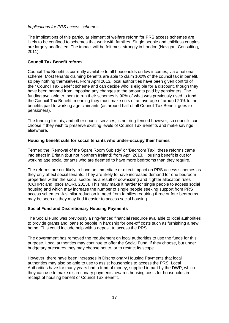#### *Implications for PRS access schemes*

The implications of this particular element of welfare reform for PRS access schemes are likely to be confined to schemes that work with families. Single people and childless couples are largely unaffected. The impact will be felt most strongly in London (Navigant Consulting, 2011).

#### **Council Tax Benefit reform**

Council Tax Benefit is currently available to all households on low incomes, via a national scheme. Most tenants claiming benefits are able to claim 100% of the council tax in benefit, so pay nothing themselves. From April 2013, local authorities have been given control of their Council Tax Benefit scheme and can decide who is eligible for a discount, though they have been banned from imposing any changes to the amounts paid by pensioners. The funding available to them to run their schemes is 90% of what was previously used to fund the Council Tax Benefit, meaning they must make cuts of an average of around 20% to the benefits paid to working age claimants (as around half of all Council Tax Benefit goes to pensioners).

The funding for this, and other council services, is not ring-fenced however, so councils can choose if they wish to preserve existing levels of Council Tax Benefits and make savings elsewhere.

#### **Housing benefit cuts for social tenants who under-occupy their homes**

Termed the 'Removal of the Spare Room Subisdy' or 'Bedroom Tax', these reforms came into effect in Britain (but not Northern Ireland) from April 2013. Housing benefit is cut for working age social tenants who are deemed to have more bedrooms than they require.

The reforms are not likely to have an immediate or direct impact on PRS access schemes as they only affect social tenants. They are likely to have increased demand for one bedroom properties within the social sector, as a result of downsizing and tighter allocation rules (CCHPR and Ipsos MORI, 2013). This may make it harder for single people to access social housing and which may increase the number of single people seeking support from PRS access schemes. A similar reduction in need from families requiring three or four bedrooms may be seen as they may find it easier to access social housing.

#### **Social Fund and Discretionary Housing Payments**

The Social Fund was previously a ring-fenced financial resource available to local authorities to provide grants and loans to people in hardship for one-off costs such as furnishing a new home. This could include help with a deposit to access the PRS.

The government has removed the requirement on local authorities to use the funds for this purpose. Local authorities may continue to offer the Social Fund, if they choose, but under budgetary pressures they may choose not to, or to restrict its scope.

However, there have been increases in Discretionary Housing Payments that local authorities may also be able to use to assist households to access the PRS. Local Authorities have for many years had a fund of money, supplied in part by the DWP, which they can use to make discretionary payments towards housing costs for households in receipt of housing benefit or Council Tax Benefit.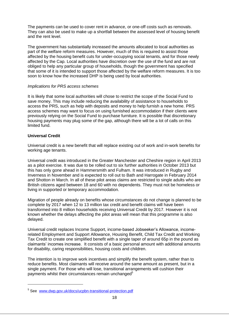The payments can be used to cover rent in advance, or one-off costs such as removals. They can also be used to make up a shortfall between the assessed level of housing benefit and the rent level.

The government has substantially increased the amounts allocated to local authorities as part of the welfare reform measures. However, much of this is required to assist those affected by the housing benefit cuts for under-occupying social tenants, and for those newly affected by the Cap. Local authorities have discretion over the use of the fund and are not obliged to help any particular group of households, though the government has specified that some of it is intended to support those affected by the welfare reform measures. It is too soon to know how the increased DHP is being used by local authorities.

#### *Implications for PRS access schemes*

It is likely that some local authorities will chose to restrict the scope of the Social Fund to save money. This may include reducing the availability of assistance to households to access the PRS, such as help with deposits and money to help furnish a new home. PRS access schemes may want to focus on using furnished accommodation if their clients were previously relying on the Social Fund to purchase furniture. It is possible that discretionary housing payments may plug some of the gap, although there will be a lot of calls on this limited fund.

#### **Universal Credit**

-

Universal credit is a new benefit that will replace existing out of work and in-work benefits for working age tenants.

Universal credit was introduced in the Greater Manchester and Cheshire region in April 2013 as a pilot exercise. It was due to be rolled out to six further authorities in October 2013 but this has only gone ahead in Hammersmith and Fulham. It was introduced in Rugby and Inverness in November and is expected to roll out to Bath and Harrogate in February 2014 and Shotton in March. In all of these pilot areas claims are restricted to single adults who are British citizens aged between 18 and 60 with no dependents. They must not be homeless or living in supported or temporary accommodation.

Migration of people already on benefits whose circumstances do not change is planned to be complete by 2017 when 12 to 13 million tax credit and benefit claims will have been transformed into 8 million households receiving Universal Credit by 2017. However it is not known whether the delays affecting the pilot areas will mean that this programme is also delayed.

Universal credit replaces Income Support, income-based Jobseeker's Allowance, incomerelated Employment and Support Allowance, Housing Benefit, Child Tax Credit and Working Tax Credit to create one simplified benefit with a single taper of around 65p in the pound as claimants' incomes increase. It consists of a basic personal amount with additional amounts for disability, caring responsibilities, housing costs and children.

The intention is to improve work incentives and simplify the benefit system, rather than to reduce benefits. Most claimants will receive around the same amount as present, but in a single payment. For those who will lose, transitional arrangements will cushion their payments whilst their circumstances remain unchanged<sup>5</sup>

<sup>&</sup>lt;sup>5</sup> See [www.dwp.gov.uk/docs/ucpbn-transitional-protection.pdf](http://www.dwp.gov.uk/docs/ucpbn-transitional-protection.pdf)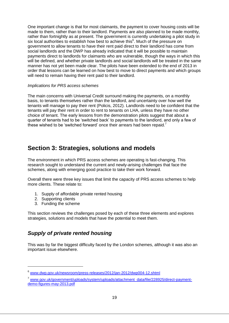One important change is that for most claimants, the payment to cover housing costs will be made to them, rather than to their landlord. Payments are also planned to be made monthly, rather than fortnightly as at present. The government is currently undertaking a pilot study in six local authorities to establish how best to achieve this<sup>6</sup>. Much of the pressure on government to allow tenants to have their rent paid direct to their landlord has come from social landlords and the DWP has already indicated that it will be possible to maintain payments direct to landlords for claimants who are vulnerable, though the ways in which this will be defined, and whether private landlords and social landlords will be treated in the same manner has not yet been made clear. The pilots have been extended to the end of 2013 in order that lessons can be learned on how best to move to direct payments and which groups will need to remain having their rent paid to their landlord.

#### *Implications for PRS access schemes*

<span id="page-19-0"></span>The main concerns with Universal Credit surround making the payments, on a monthly basis, to tenants themselves rather than the landlord, and uncertainty over how well the tenants will manage to pay their rent (Policis, 2012). Landlords need to be confident that the tenants will pay their rent in order to rent to tenants on LHA, unless they have no other choice of tenant. The early lessons from the demonstration pilots suggest that about a quarter of tenants had to be 'switched back' to payments to the landlord, and only a few of these wished to be 'switched forward' once their arrears had been repaid.<sup>7</sup>

## **Section 3: Strategies, solutions and models**

The environment in which PRS access schemes are operating is fast-changing. This research sought to understand the current and newly-arising challenges that face the schemes, along with emerging good practice to take their work forward.

Overall there were three key issues that limit the capacity of PRS access schemes to help more clients. These relate to:

- 1. Supply of affordable private rented housing
- 2. Supporting clients

-

3. Funding the scheme

This section reviews the challenges posed by each of these three elements and explores strategies, solutions and models that have the potential to meet them.

## <span id="page-19-1"></span>*Supply of private rented housing*

This was by far the biggest difficulty faced by the London schemes, although it was also an important issue elsewhere.

<sup>6</sup> [www.dwp.gov.uk/newsroom/press-releases/2012/jan-2012/dwp004-12.shtml](http://www.dwp.gov.uk/newsroom/press-releases/2012/jan-2012/dwp004-12.shtml)

<sup>&</sup>lt;sup>7</sup> [www.gov.uk/government/uploads/system/uploads/attachment\\_data/file/228925/direct-payment](http://www.gov.uk/government/uploads/system/uploads/attachment_data/file/228925/direct-payment-demo-figures-may-2013.pdf)[demo-figures-may-2013.pdf](http://www.gov.uk/government/uploads/system/uploads/attachment_data/file/228925/direct-payment-demo-figures-may-2013.pdf)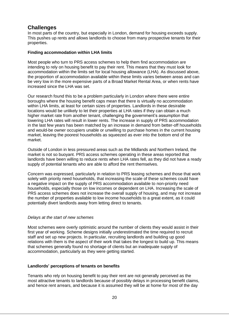## **Challenges**

In most parts of the country, but especially in London, demand for housing exceeds supply. This pushes up rents and allows landlords to choose from many prospective tenants for their properties.

#### **Finding accommodation within LHA limits**

Most people who turn to PRS access schemes to help them find accommodation are intending to rely on housing benefit to pay their rent. This means that they must look for accommodation within the limits set for local housing allowance (LHA). As discussed above, the proportion of accommodation available within these limits varies between areas and can be very low in the more expensive parts of a Broad Market Rental Area, or when rents have increased since the LHA was set.

Our research found this to be a problem particularly in London where there were entire boroughs where the housing benefit caps mean that there is virtually no accommodation within LHA limits, at least for certain sizes of properties. Landlords in these desirable locations would be unlikely to let their properties at LHA rates if they can obtain a much higher market rate from another tenant, challenging the government's assumption that lowering LHA rates will result in lower rents. The increase in supply of PRS accommodation in the last few years has been matched by an increase in demand from better-off households and would-be owner occupiers unable or unwilling to purchase homes in the current housing market, leaving the poorest households as squeezed as ever into the bottom end of the market.

Outside of London in less pressured areas such as the Midlands and Northern Ireland, the market is not so buoyant. PRS access schemes operating in these areas reported that landlords have been willing to reduce rents when LHA rates fell, as they did not have a ready supply of potential tenants who are able to afford the rent themselves.

Concern was expressed, particularly in relation to PRS leasing schemes and those that work solely with priority need households, that increasing the scale of these schemes could have a negative impact on the supply of PRS accommodation available to non-priority need households, especially those on low incomes or dependent on LHA. Increasing the scale of PRS access schemes does not increase the overall supply of housing, and may not increase the number of properties available to low income households to a great extent, as it could potentially divert landlords away from letting direct to tenants.

#### *Delays at the start of new schemes*

Most schemes were overly optimistic around the number of clients they would assist in their first year of working. Scheme designs initially underestimated the time required to recruit staff and set up new projects. In particular, recruiting landlords and building up good relations with them is the aspect of their work that takes the longest to build up. This means that schemes generally found no shortage of clients but an inadequate supply of accommodation, particularly as they were getting started.

#### **Landlords' perceptions of tenants on benefits**

Tenants who rely on housing benefit to pay their rent are not generally perceived as the most attractive tenants to landlords because of possibly delays in processing benefit claims, and hence rent arrears, and because it is assumed they will be at home for most of the day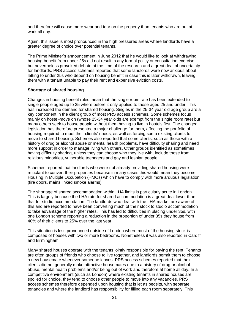and therefore will cause more wear and tear on the property than tenants who are out at work all day.

Again, this issue is most pronounced in the high pressured areas where landlords have a greater degree of choice over potential tenants.

The Prime Minister's announcement in June 2012 that he would like to look at withdrawing housing benefit from under 25s did not result in any formal policy or consultation exercise, but nevertheless provoked debate at the time of the research and a great deal of uncertainty for landlords. PRS access schemes reported that some landlords were now anxious about letting to under 25s who depend on housing benefit in case this is later withdrawn, leaving them with a tenant unable to pay their rent and expensive eviction costs.

#### **Shortage of shared housing**

Changes in housing benefit rules mean that the single room rate has been extended to single people aged up to 35 where before it only applied to those aged 25 and under. This has increased the demand for shared housing. Singles in the 25-34 year old age group are a key component in the client group of most PRS access schemes. Some schemes focus mainly on hostel-move on (whose 25-34 year olds are exempt from the single room rate) but many others seek to house people without them having to live in hostels first. The changed legislation has therefore presented a major challenge for them, affecting the portfolio of housing required to meet their clients' needs, as well as forcing some existing clients to move to shared housing. Schemes also reported that some clients, such as those with a history of drug or alcohol abuse or mental health problems, have difficulty sharing and need more support in order to manage living with others. Other groups identified as sometimes having difficulty sharing, unless they can choose who they live with, include those from religious minorities, vulnerable teenagers and gay and lesbian people.

Schemes reported that landlords who were not already providing shared housing were reluctant to convert their properties because in many cases this would mean they become Housing in Multiple Occupation (HMOs) which have to comply with more arduous legislation (fire doors, mains linked smoke alarms).

The shortage of shared accommodation within LHA limits is particularly acute in London. This is largely because the LHA rate for shared accommodation is a great deal lower than that for studio accommodation. The landlords who deal with the LHA market are aware of this and are reported to have been converting much of their stock to studio accommodation to take advantage of the higher rates. This has led to difficulties in placing under 35s, with one London scheme reporting a reduction in the proportion of under 35s they house from 40% of their clients to 25% over the last year.

This situation is less pronounced outside of London where most of the housing stock is composed of houses with two or more bedrooms. Nonetheless it was also reported in Cardiff and Birmingham.

Many shared houses operate with the tenants jointly responsible for paying the rent. Tenants are often groups of friends who choose to live together, and landlords permit them to choose a new housemate whenever someone leaves. PRS access schemes reported that their clients did not generally make attractive housemates due to a history of drug or alcohol abuse, mental health problems and/or being out of work and therefore at home all day. In a competitive environment (such as London) where existing tenants in shared houses are spoiled for choice, they tend to choose other people to move into any vacancies. PRS access schemes therefore depended upon housing that is let as bedsits, with separate tenancies and where the landlord has responsibility for filling each room separately. This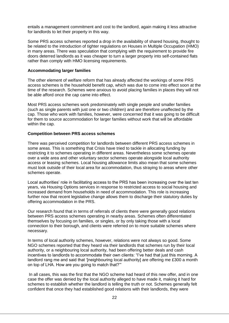entails a management commitment and cost to the landlord, again making it less attractive for landlords to let their property in this way.

Some PRS access schemes reported a drop in the availability of shared housing, thought to be related to the introduction of tighter regulations on Houses in Multiple Occupation (HMO) in many areas. There was speculation that complying with the requirement to provide fire doors deterred landlords as it was cheaper to turn a larger property into self-contained flats rather than comply with HMO licensing requirements.

#### **Accommodating larger families**

The other element of welfare reform that has already affected the workings of some PRS access schemes is the household benefit cap, which was due to come into effect soon at the time of the research. Schemes were anxious to avoid placing families in places they will not be able afford once the cap came into effect.

Most PRS access schemes work predominately with single people and smaller families (such as single parents with just one or two children) and are therefore unaffected by the cap. Those who work with families, however, were concerned that it was going to be difficult for them to source accommodation for larger families without work that will be affordable within the cap.

#### **Competition between PRS access schemes**

There was perceived competition for landlords between different PRS access schemes in some areas. This is something that Crisis have tried to tackle in allocating funding by restricting it to schemes operating in different areas. Nevertheless some schemes operate over a wide area and other voluntary sector schemes operate alongside local authority access or leasing schemes. Local housing allowance limits also mean that some schemes must look outside of their local area for accommodation, thus straying to areas where other schemes operate.

Local authorities' role in facilitating access to the PRS has been increasing over the last ten years, via Housing Options services in response to restricted access to social housing and increased demand from households in need of accommodation. This role is increasing further now that recent legislative change allows them to discharge their statutory duties by offering accommodation in the PRS.

Our research found that in terms of referrals of clients there were generally good relations between PRS access schemes operating in nearby areas. Schemes often differentiated themselves by focusing on families, or singles, or by only taking those with a local connection to their borough, and clients were referred on to more suitable schemes where necessary.

In terms of local authority schemes, however, relations were not always so good. Some NGO schemes reported that they heard via their landlords that schemes run by their local authority, or a neighbouring local authority, had been offering better deals and cash incentives to landlords to accommodate their own clients: "I've had that just this morning. A landlord rang me and said that '[neighbouring local authority] are offering me £300 a month on top of LHA. How are you going to match that?'"

In all cases, this was the first that the NGO scheme had heard of this new offer, and in one case the offer was denied by the local authority alleged to have made it, making it hard for schemes to establish whether the landlord is telling the truth or not. Schemes generally felt confident that once they had established good relations with their landlords, they were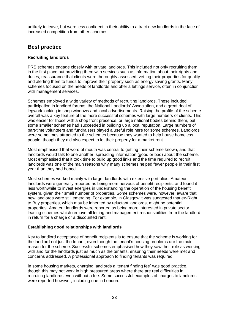unlikely to leave, but were less confident in their ability to attract new landlords in the face of increased competition from other schemes.

### **Best practice**

#### **Recruiting landlords**

PRS schemes engage closely with private landlords. This included not only recruiting them in the first place but providing them with services such as information about their rights and duties, reassurance that clients were thoroughly assessed, vetting their properties for quality and alerting them to funds to improve their property such as energy saving grants. Many schemes focused on the needs of landlords and offer a lettings service, often in conjunction with management services.

Schemes employed a wide variety of methods of recruiting landlords. These included participation in landlord forums, the National Landlords' Association, and a great deal of legwork looking in shop windows and local advertisements. Raising the profile of the scheme overall was a key feature of the more successful schemes with large numbers of clients. This was easier for those with a shop front presence, or large national bodies behind them, but some smaller schemes had succeeded in building up a local reputation. Large numbers of part-time volunteers and fundraisers played a useful role here for some schemes. Landlords were sometimes attracted to the schemes because they wanted to help house homeless people, though they did also expect to let their property for a market rent.

Most emphasised that word of mouth was central to getting their scheme known, and that landlords would talk to one another, spreading information (good or bad) about the scheme. Most emphasised that it took time to build up good links and the time required to recruit landlords was one of the main reasons why many schemes helped fewer people in their first year than they had hoped.

Most schemes worked mainly with larger landlords with extensive portfolios. Amateur landlords were generally reported as being more nervous of benefit recipients, and found it less worthwhile to invest energies in understanding the operation of the housing benefit system, given their small number of properties. Some schemes were, however, aware that new landlords were still emerging. For example, in Glasgow it was suggested that ex-Right to Buy properties, which may be inherited by reluctant landlords, might be potential properties. Amateur landlords were reported as being more interested in private sector leasing schemes which remove all letting and management responsibilities from the landlord in return for a charge or a discounted rent.

#### **Establishing good relationships with landlords**

Key to landlord acceptance of benefit recipients is to ensure that the scheme is working for the landlord not just the tenant, even though the tenant's housing problems are the main reason for the scheme. Successful schemes emphasised how they saw their role as working with and for the landlords just as much as the tenants, ensuring their needs were met and concerns addressed. A professional approach to finding tenants was required.

In some housing markets, charging landlords a 'tenant finding fee' was good practice, though this may not work in high pressured areas where there are real difficulties in recruiting landlords even without a fee. Some successful examples of charges to landlords were reported however, including one in London.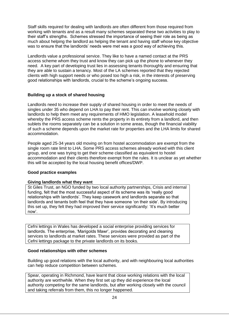Staff skills required for dealing with landlords are often different from those required from working with tenants and as a result many schemes separated these two activities to play to their staff's strengths. Schemes stressed the importance of seeing their role as being as much about helping the landlord as helping the tenant and having staff whose key objective was to ensure that the landlords' needs were met was a good way of achieving this.

Landlords value a professional service. They like to have a named contact at the PRS access scheme whom they trust and know they can pick up the phone to whenever they need. A key part of developing trust lies in assessing tenants thoroughly and ensuring that they are able to sustain a tenancy. Most of the LA schemes reported that they rejected clients with high support needs or who posed too high a risk, in the interests of preserving good relationships with landlords, crucial to the scheme's ongoing success.

#### **Building up a stock of shared housing**

Landlords need to increase their supply of shared housing in order to meet the needs of singles under 35 who depend on LHA to pay their rent. This can involve working closely with landlords to help them meet any requirements of HMO legislation. A leasehold model whereby the PRS access scheme rents the property in its entirety from a landlord, and then sublets the rooms separately can be a solution in some areas, though the financial viability of such a scheme depends upon the market rate for properties and the LHA limits for shared accommodation.

People aged 25-34 years old moving on from hostel accommodation are exempt from the single room rate limit to LHA. Some PRS access schemes already worked with this client group, and one was trying to get their scheme classified as equivalent to hostel accommodation and their clients therefore exempt from the rules. It is unclear as yet whether this will be accepted by the local housing benefit offices/DWP.

#### **Good practice examples**

#### **Giving landlords what they want**

St Giles Trust, an NGO funded by two local authority partnerships, Crisis and internal funding, felt that the most successful aspect of its scheme was its 'really good relationships with landlords'. They keep casework and landlords separate so that landlords and tenants both feel that they have someone 'on their side'. By introducing this set up, they felt they had improved their service significantly: 'It's much better now'.

Cefni lettings in Wales has developed a social enterprise providing services for landlords. The enterprise, 'Marigolds Mawr', provides decorating and cleaning services to landlords at market rates. These services were provided as part of the Cefni lettings package to the private landlords on its books.

#### **Good relationships with other schemes**

Building up good relations with the local authority, and with neighbouring local authorities can help reduce competition between schemes.

Spear, operating in Richmond, have learnt that close working relations with the local authority are worthwhile. When they first set up they did experience the local authority competing for the same landlords, but after working closely with the council and taking referrals from them, this no longer happened.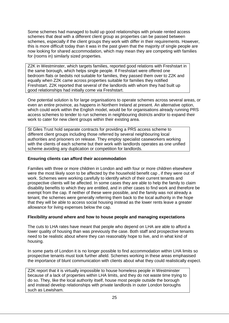Some schemes had managed to build up good relationships with private rented access schemes that deal with a different client group as properties can be passed between schemes, especially if the client groups they work with differ in their requirements. However, this is more difficult today than it was in the past given that the majority of single people are now looking for shared accommodation, which may mean they are competing with families for (rooms in) similarly sized properties.

Z2K in Westminster, which targets families, reported good relations with Freshstart in the same borough, which helps single people. If Freshstart were offered one bedroom flats or bedsits not suitable for families, they passed them over to Z2K and equally when Z2K came across properties suitable for families they notified Freshstart. Z2K reported that several of the landlords with whom they had built up good relationships had initially come via Freshstart.

One potential solution is for large organisations to operate schemes across several areas, or even an entire province, as happens in Northern Ireland at present. An alternative option, which could work within the English model, would be for organisations already running PRS access schemes to tender to run schemes in neighbouring districts and/or to expand their work to cater for new client groups within their existing area.

St Giles Trust hold separate contracts for providing a PRS access scheme to different client groups including those referred by several neighbouring local authorities and prisoners on release. They employ specialist caseworkers working with the clients of each scheme but their work with landlords operates as one unified scheme avoiding any duplication or competition for landlords.

#### **Ensuring clients can afford their accommodation**

Families with three or more children in London and with four or more children elsewhere were the most likely soon to be affected by the household benefit cap , if they were out of work. Schemes were working carefully to identify which of their current tenants and prospective clients will be affected. In some cases they are able to help the family to claim disability benefits to which they are entitled, and in other cases to find work and therefore be exempt from the cap. If neither of these were possible, and the family was not already a tenant, the schemes were generally referring them back to the local authority in the hope that they will be able to access social housing instead as the lower rents leave a greater allowance for living expenses below the cap.

#### **Flexibility around where and how to house people and managing expectations**

The cuts to LHA rates have meant that people who depend on LHA are able to afford a lower quality of housing than was previously the case. Both staff and prospective tenants need to be realistic about where they can reasonably hope to live, and in what kind of housing.

In some parts of London it is no longer possible to find accommodation within LHA limits so prospective tenants must look further afield. Schemes working in these areas emphasised the importance of blunt communication with clients about what they could realistically expect.

Z2K report that it is virtually impossible to house homeless people in Westminster because of a lack of properties within LHA limits, and they do not waste time trying to do so. They, like the local authority itself, house most people outside the borough and instead develop relationships with private landlords in outer London boroughs such as Lewisham.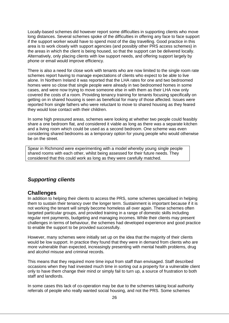Locally-based schemes did however report some difficulties in supporting clients who move long distances. Several schemes spoke of the difficulties in offering any face to face support if the support worker would have to spend most of the day travelling. Good practice in this area is to work closely with support agencies (and possibly other PRS access schemes) in the areas in which the client is being housed, so that the support can be delivered locally. Alternatively, only placing clients with low support needs, and offering support largely by phone or email would improve efficiency.

There is also a need for close work with tenants who are now limited to the single room rate schemes report having to manage expectations of clients who expect to be able to live alone. In Northern Ireland it was reported that the LHA rates for one and two bedroomed homes were so close that single people were already in two bedroomed homes in some cases, and were now trying to move someone else in with them as their LHA now only covered the costs of a room. Providing tenancy training for tenants focusing specifically on getting on in shared housing is seen as beneficial for many of those affected. Issues were reported from single fathers who were reluctant to move to shared housing as they feared they would lose contact with their children.

In some high pressured areas, schemes were looking at whether two people could feasibly share a one bedroom flat, and considered it viable as long as there was a separate kitchen and a living room which could be used as a second bedroom. One scheme was even considering shared bedrooms as a temporary option for young people who would otherwise be on the street.

<span id="page-26-0"></span>Spear in Richmond were experimenting with a model whereby young single people shared rooms with each other, whilst being assessed for their future needs. They considered that this could work as long as they were carefully matched.

## *Supporting clients*

### **Challenges**

In addition to helping their clients to access the PRS, some schemes specialised in helping them to sustain their tenancy over the longer term. Sustainment is important because if it is not working the tenant will simply become homeless all over again. These schemes often targeted particular groups, and provided training in a range of domestic skills including regular rent payments, budgeting and managing incomes. While their clients may present challenges in terms of behaviour, the schemes had developed experience and good practice to enable the support to be provided successfully.

However, many schemes were initially set up on the idea that the majority of their clients would be low support. In practice they found that they were in demand from clients who are more vulnerable than expected, increasingly presenting with mental health problems, drug and alcohol misuse and criminal records.

This means that they required more time input from staff than envisaged. Staff described occasions when they had invested much time in sorting out a property for a vulnerable client only to have them change their mind or simply fail to turn up, a source of frustration to both staff and landlords.

In some cases this lack of co-operation may be due to the schemes taking local authority referrals of people who really wanted social housing, and not the PRS. Some schemes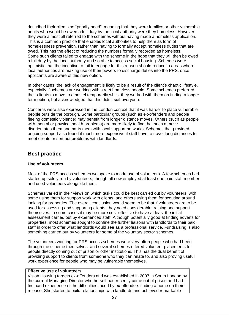described their clients as "priority need", meaning that they were families or other vulnerable adults who would be owed a full duty by the local authority were they homeless. However, they were almost all referred to the schemes without having made a homeless application. This is a common practice that enables local authorities to help them as form of homelessness prevention, rather than having to formally accept homeless duties that are owed. This has the effect of reducing the numbers formally recorded as homeless. Some such clients failed to engage with the scheme in the hope that they will then be owed a full duty by the local authority and so able to access social housing. Schemes were optimistic that the incentive to fail to engage for this reason should reduce in areas where local authorities are making use of their powers to discharge duties into the PRS, once applicants are aware of this new option.

In other cases, the lack of engagement is likely to be a result of the client's chaotic lifestyle, especially if schemes are working with street homeless people. Some schemes preferred their clients to move to a hostel temporarily whilst they worked with them on finding a longer term option, but acknowledged that this didn't suit everyone.

Concerns were also expressed in the London context that it was harder to place vulnerable people outside the borough. Some particular groups (such as ex-offenders and people fleeing domestic violence) may benefit from longer distance moves. Others (such as people with mental or physical health problems) are more likely to find that such a move disorientates them and parts them with local support networks. Schemes that provided ongoing support also found it much more expensive if staff have to travel long distances to meet clients or sort out problems with landlords.

### **Best practice**

#### **Use of volunteers**

Most of the PRS access schemes we spoke to made use of volunteers. A few schemes had started up solely run by volunteers, though all now employed at least one paid staff member and used volunteers alongside them.

Schemes varied in their views on which tasks could be best carried out by volunteers, with some using them for support work with clients, and others using them for scouting around looking for properties. The overall conclusion would seem to be that if volunteers are to be used for assessing and supporting clients, they need considerable training and support themselves. In some cases it may be more cost-effective to have at least the initial assessment carried out by experienced staff. Although potentially good at finding adverts for properties, most schemes sought to confine the further liaisons with landlords to their paid staff in order to offer what landlords would see as a professional service. Fundraising is also something carried out by volunteers for some of the voluntary sector schemes.

The volunteers working for PRS access schemes were very often people who had been through the scheme themselves, and several schemes offered volunteer placements to people directly coming out of prison or other institutions. This has the dual benefit of providing support to clients from someone who they can relate to, and also proving useful work experience for people who may be vulnerable themselves.

#### **Effective use of volunteers**

Vision Housing targets ex-offenders and was established in 2007 in South London by the current Managing Director who herself had recently come out of prison and had firsthand experience of the difficulties faced by ex-offenders finding a home on their release. She started to build relationships with landlords and achieved remarkable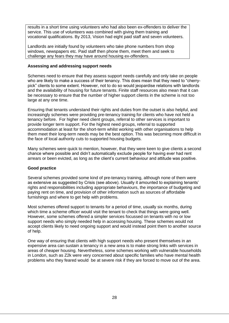results in a short time using volunteers who had also been ex-offenders to deliver the service. This use of volunteers was combined with giving them training and vocational qualifications. By 2013, Vision had eight paid staff and seven volunteers.

Landlords are initially found by volunteers who take phone numbers from shop windows, newspapers etc. Paid staff then phone them, meet them and seek to challenge any fears they may have around housing ex-offenders.

#### **Assessing and addressing support needs**

Schemes need to ensure that they assess support needs carefully and only take on people who are likely to make a success of their tenancy. This does mean that they need to "cherrypick" clients to some extent. However, not to do so would jeopardise relations with landlords and the availability of housing for future tenants. Finite staff resources also mean that it can be necessary to ensure that the number of higher support clients in the scheme is not too large at any one time.

Ensuring that tenants understand their rights and duties from the outset is also helpful, and increasingly schemes were providing pre-tenancy training for clients who have not held a tenancy before. For higher need client groups, referral to other services is important to provide longer term support. For the highest need groups, referral to supported accommodation at least for the short-term whilst working with other organisations to help them meet their long-term needs may be the best option. This was becoming more difficult in the face of local authority cuts to supported housing budgets.

Many schemes were quick to mention, however, that they were keen to give clients a second chance where possible and didn't automatically exclude people for having ever had rent arrears or been evicted, as long as the client's current behaviour and attitude was positive.

#### **Good practice**

Several schemes provided some kind of pre-tenancy training, although none of them were as extensive as suggested by Crisis (see above). Usually it amounted to explaining tenants' rights and responsibilities including appropriate behaviours, the importance of budgeting and paying rent on time, and provision of other information such as sources of affordable furnishings and where to get help with problems.

Most schemes offered support to tenants for a period of time, usually six months, during which time a scheme officer would visit the tenant to check that things were going well. However, some schemes offered a simpler services focussed on tenants with no or low support needs who simply needed help in accessing housing. These schemes would not accept clients likely to need ongoing support and would instead point them to another source of help.

<span id="page-28-0"></span>One way of ensuring that clients with high support needs who present themselves in an expensive area can sustain a tenancy in a new area is to make strong links with services in areas of cheaper housing. Nevertheless, some schemes working with vulnerable households in London, such as Z2k were very concerned about specific families who have mental health problems who they feared would be at severe risk if they are forced to move out of the area.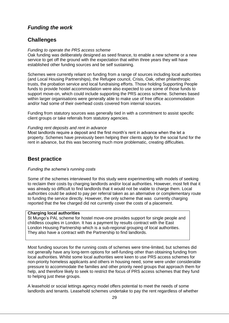## *Funding the work*

## **Challenges**

#### *Funding to operate the PRS access scheme*

Oak funding was deliberately designed as seed finance, to enable a new scheme or a new service to get off the ground with the expectation that within three years they will have established other funding sources and be self sustaining.

Schemes were currently reliant on funding from a range of sources including local authorities (and Local Housing Partnerships), the Refugee council, Crisis, Oak, other philanthropic trusts, the probation service and local fundraising efforts. Those holding Supporting People funds to provide hostel accommodation were also expected to use some of those funds to support move-on, which could include supporting the PRS access scheme. Schemes based within larger organisations were generally able to make use of free office accommodation and/or had some of their overhead costs covered from internal sources.

Funding from statutory sources was generally tied in with a commitment to assist specific client groups or take referrals from statutory agencies.

#### *Funding rent deposits and rent in advance*

Most landlords require a deposit and the first month's rent in advance when the let a property. Schemes have previously been helping their clients apply for the social fund for the rent in advance, but this was becoming much more problematic, creating difficulties.

## **Best practice**

#### *Funding the scheme's running costs*

Some of the schemes interviewed for this study were experimenting with models of seeking to reclaim their costs by charging landlords and/or local authorities. However, most felt that it was already so difficult to find landlords that it would not be viable to charge them. Local authorities could be asked to pay per referral taken as an alternative or complementary route to funding the service directly. However, the only scheme that was currently charging reported that the fee charged did not currently cover the costs of a placement.

#### **Charging local authorities**

St Mungo's PAL scheme for hostel move-one provides support for single people and childless couples in London. It has a payment by results contract with the East London Housing Partnership which is a sub-regional grouping of local authorities. They also have a contract with the Partnership to find landlords.

Most funding sources for the running costs of schemes were time-limited, but schemes did not generally have any long-term options for self-funding other than obtaining funding from local authorities. Whilst some local authorities were keen to use PRS access schemes for non-priority homeless applicants and others in housing need, some were under considerable pressure to accommodate the families and other priority need groups that approach them for help, and therefore likely to seek to restrict the focus of PRS access schemes that they fund to helping just these groups.

A leasehold or social lettings agency model offers potential to meet the needs of some landlords and tenants. Leasehold schemes undertake to pay the rent regardless of whether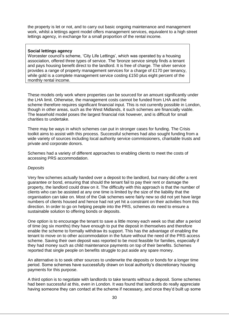the property is let or not, and to carry out basic ongoing maintenance and management work, whilst a lettings agent model offers management services, equivalent to a high street lettings agency, in exchange for a small proportion of the rental income.

#### **Social lettings agency**

Worcester council's scheme, 'City Life Lettings', which was operated by a housing association, offered three types of service. The 'bronze service simply finds a tenant and pays housing benefit direct to the landlord. It is free of charge. The silver service provides a range of property management services for a charge of £170 per tenancy, while gold is a complete management service costing £150 plus eight percent of the monthly rental income.

These models only work where properties can be sourced for an amount significantly under the LHA limit. Otherwise, the management costs cannot be funded from LHA and the scheme therefore requires significant financial input. This is not currently possible in London, though in other areas, such as the West Midlands, it such schemes are financially viable. The leasehold model poses the largest financial risk however, and is difficult for small charities to undertake.

There may be ways in which schemes can put in stronger cases for funding. The Crisis toolkit aims to assist with this process. Successful schemes had also sought funding from a wide variety of sources including local authority service commissioners, charitable trusts and private and corporate donors.

Schemes had a variety of different approaches to enabling clients to meet the costs of accessing PRS accommodation.

#### *Deposits*

Very few schemes actually handed over a deposit to the landlord, but many did offer a rent guarantee or bond, ensuring that should the tenant fail to pay their rent or damage the property, the landlord could draw on it. The difficulty with this approach is that the number of clients who can be assisted at any one time is limited by the size of the liability that the organisation can take on. Most of the Oak schemes were fairly new so did not yet have large numbers of clients housed and hence had not yet hit a constraint on their activities from this direction. In order to go on helping people into the PRS, schemes do need to ensure a sustainable solution to offering bonds or deposits.

One option is to encourage the tenant to save a little money each week so that after a period of time (eg six months) they have enough to put the deposit in themselves and therefore enable the scheme to formally withdraw its support. This has the advantage of enabling the tenant to move on to other accommodation in the future without the need of the PRS access scheme. Saving their own deposit was reported to be most feasible for families, especially if they had money such as child maintenance payments on top of their benefits. Schemes reported that single people on benefits struggle to put aside any spare money.

An alternative is to seek other sources to underwrite the deposits or bonds for a longer time period. Some schemes have successfully drawn on local authority's discretionary housing payments for this purpose.

A third option is to negotiate with landlords to take tenants without a deposit. Some schemes had been successful at this, even in London. It was found that landlords do really appreciate having someone they can contact at the scheme if necessary, and once they'd built up some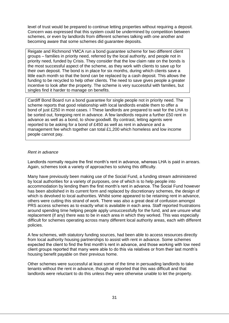level of trust would be prepared to continue letting properties without requiring a deposit. Concern was expressed that this system could be undermined by competition between schemes, or even by landlords from different schemes talking with one another and becoming aware that some schemes did guarantee deposits.

Reigate and Richmond YMCA run a bond guarantee scheme for two different client groups – families in priority need, referred by the local authority, and people not in priority need, funded by Crisis. They consider that the low claim rate on the bonds is the most successful aspect of the scheme, as they work with clients to save up for their own deposit. The bond is in place for six months, during which clients save a little each month so that the bond can be replaced by a cash deposit. This allows the funding to be recycled to help other clients. The need to save gives people a greater incentive to look after the property. The scheme is very successful with families, but singles find it harder to manage on benefits.

Cardiff Bond Board run a bond guarantee for single people not in priority need. The scheme reports that good relationship with local landlords enable them to offer a bond of just £250 in most cases. I These landlords are prepared to wait for the LHA to be sorted out, foregoing rent in advance. A few landlords require a further £50 rent in advance as well as a bond, to show goodwill. By contrast, letting agents were reported to be asking for a bond of £450 as well as rent in advance and a management fee which together can total £1,200 which homeless and low income people cannot pay.

#### *Rent in advance*

Landlords normally require the first month's rent in advance, whereas LHA is paid in arrears. Again, schemes took a variety of approaches to solving this difficulty.

Many have previously been making use of the Social Fund, a funding stream administered by local authorities for a variety of purposes, one of which is to help people into accommodation by lending them the first month's rent in advance. The Social Fund however has been abolished in its current form and replaced by discretionary schemes, the design of which is devolved to local authorities. Whilst some appeared to be retaining rent in advance, others were cutting this strand of work. There was also a great deal of confusion amongst PRS access schemes as to exactly what is available in each area. Staff reported frustrations around spending time helping people apply unsuccessfully for the fund, and are unsure what replacement (if any) there was to be in each area in which they worked. This was especially difficult for schemes operating across many different local authority areas, each with different policies.

A few schemes, with statutory funding sources, had been able to access resources directly from local authority housing partnerships to assist with rent in advance. Some schemes expected the client to find the first month's rent in advance, and those working with low need client groups reported that many were able to do this via relatives or from their last month's housing benefit payable on their previous home.

Other schemes were successful at least some of the time in persuading landlords to take tenants without the rent in advance, though all reported that this was difficult and that landlords were reluctant to do this unless they were otherwise unable to let the property.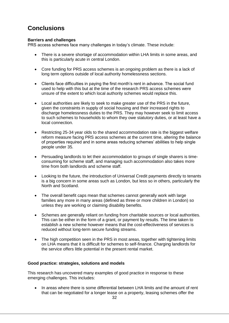# <span id="page-32-0"></span>**Conclusions**

#### **Barriers and challenges**

PRS access schemes face many challenges in today's climate. These include:

- There is a severe shortage of accommodation within LHA limits in some areas, and this is particularly acute in central London.
- Core funding for PRS access schemes is an ongoing problem as there is a lack of long term options outside of local authority homelessness sections.
- Clients face difficulties in paying the first month's rent in advance. The social fund used to help with this but at the time of the research PRS access schemes were unsure of the extent to which local authority schemes would replace this.
- Local authorities are likely to seek to make greater use of the PRS in the future, given the constraints in supply of social housing and their increased rights to discharge homelessness duties to the PRS. They may however seek to limit access to such schemes to households to whom they owe statutory duties, or at least have a local connection.
- Restricting 25-34 year olds to the shared accommodation rate is the biggest welfare reform measure facing PRS access schemes at the current time, altering the balance of properties required and in some areas reducing schemes' abilities to help single people under 35.
- Persuading landlords to let their accommodation to groups of single sharers is timeconsuming for scheme staff, and managing such accommodation also takes more time from both landlords and scheme staff.
- Looking to the future, the introduction of Universal Credit payments directly to tenants is a big concern in some areas such as London, but less so in others, particularly the North and Scotland.
- The overall benefit caps mean that schemes cannot generally work with large families any more in many areas (defined as three or more children in London) so unless they are working or claiming disability benefits.
- Schemes are generally reliant on funding from charitable sources or local authorities. This can be either in the form of a grant, or payment by results. The time taken to establish a new scheme however means that the cost-effectiveness of services is reduced without long-term secure funding streams.
- The high competition seen in the PRS in most areas, together with tightening limits on LHA means that it is difficult for schemes to self-finance. Charging landlords for the service offers little potential in the present rental market.

#### **Good practice: strategies, solutions and models**

This research has uncovered many examples of good practice in response to these emerging challenges. This includes:

 In areas where there is some differential between LHA limits and the amount of rent that can be negotiated for a longer lease on a property, leasing schemes offer the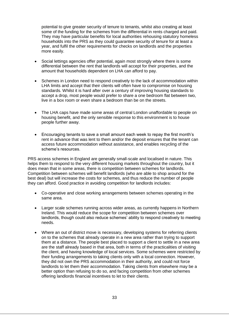potential to give greater security of tenure to tenants, whilst also creating at least some of the funding for the schemes from the differential in rents charged and paid. They may have particular benefits for local authorities rehousing statutory homeless households into the PRS as they could guarantee security of tenure for at least a year, and fulfil the other requirements for checks on landlords and the properties more easily.

- Social lettings agencies offer potential, again most strongly where there is some differential between the rent that landlords will accept for their properties, and the amount that households dependent on LHA can afford to pay.
- Schemes in London need to respond creatively to the lack of accommodation within LHA limits and accept that their clients will often have to compromise on housing standards. Whilst it is hard after over a century of improving housing standards to accept a drop, most people would prefer to share a one bedroom flat between two, live in a box room or even share a bedroom than be on the streets.
- The LHA caps have made some areas of central London unaffordable to people on housing benefit, and the only sensible response to this environment is to house people further away.
- Encouraging tenants to save a small amount each week to repay the first month's rent in advance that was lent to them and/or the deposit ensures that the tenant can access future accommodation without assistance, and enables recycling of the scheme's resources.

PRS access schemes in England are generally small-scale and localised in nature. This helps them to respond to the very different housing markets throughout the country, but it does mean that in some areas, there is competition between schemes for landlords. Competition between schemes will benefit landlords (who are able to shop around for the best deal) but will increase the costs for schemes, and thus reduce the number of people they can afford. Good practice in avoiding competition for landlords includes:

- Co-operative and close working arrangements between schemes operating in the same area.
- Larger scale schemes running across wider areas, as currently happens in Northern Ireland. This would reduce the scope for competition between schemes over landlords, though could also reduce schemes' ability to respond creatively to meeting needs.
- Where an out of district move is necessary, developing systems for referring clients on to the schemes that already operate in a new area rather than trying to support them at a distance. The people best placed to support a client to settle in a new area are the staff already based in that area, both in terms of the practicalities of visiting the client, and having knowledge of local services. Some schemes were restricted by their funding arrangements to taking clients only with a local connection. However, they did not own the PRS accommodation in their authority, and could not force landlords to let them their accommodation. Taking clients from elsewhere may be a better option than refusing to do so, and facing competition from other schemes offering landlords financial incentives to let to their clients.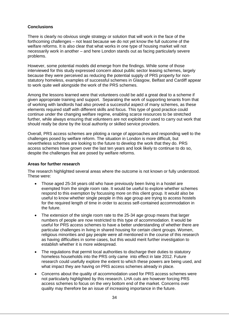#### **Conclusions**

There is clearly no obvious single strategy or solution that will work in the face of the forthcoming challenges – not least because we do not yet know the full outcome of the welfare reforms. It is also clear that what works in one type of housing market will not necessarily work in another – and here London stands out as facing particularly severe problems.

However, some potential models did emerge from the findings. While some of those interviewed for this study expressed concern about public sector leasing schemes, largely because they were perceived as reducing the potential supply of PRS property for nonstatutory homeless, examples of successful schemes in Glasgow, Belfast and Cardiff appear to work quite well alongside the work of the PRS schemes.

Among the lessons learned were that volunteers could be add a great deal to a scheme if given appropriate training and support. Separating the work of supporting tenants from that of working with landlords had also proved a successful aspect of many schemes, as these elements required staff with different skills and focus. This type of good practice could continue under the changing welfare regime, enabling scarce resources to be stretched further, while always ensuring that volunteers are not exploited or used to carry out work that should really be done by the local authority or skilled service providers.

Overall, PRS access schemes are piloting a range of approaches and responding well to the challenges posed by welfare reform. The situation in London is more difficult, but nevertheless schemes are looking to the future to develop the work that they do. PRS access schemes have grown over the last ten years and look likely to continue to do so, despite the challenges that are posed by welfare reforms.

#### **Areas for further research**

The research highlighted several areas where the outcome is not known or fully understood. These were:

- Those aged 25-34 years old who have previously been living in a hostel are exempted from the single room rate. It would be useful to explore whether schemes respond to this exemption by focussing more on this client group. It would also be useful to know whether single people in this age group are trying to access hostels for the required length of time in order to access self-contained accommodation in the future.
- The extension of the single room rate to the 25-34 age group means that larger numbers of people are now restricted to this type of accommodation. It would be useful for PRS access schemes to have a better understanding of whether there are particular challenges in living in shared housing for certain client groups. Women, religious minorities and gay people were all mentioned in the course of this research as having difficulties in some cases, but this would merit further investigation to establish whether it is more widespread.
- The regulations that permit local authorities to discharge their duties to statutory homeless households into the PRS only came into effect in late 2012. Future research could usefully explore the extent to which these powers are being used, and what impact they are having on PRS access schemes already in place.
- Concerns about the quality of accommodation used for PRS access schemes were not particularly highlighted by this research. LHA cuts are however forcing PRS access schemes to focus on the very bottom end of the market. Concerns over quality may therefore be an issue of increasing importance in the future.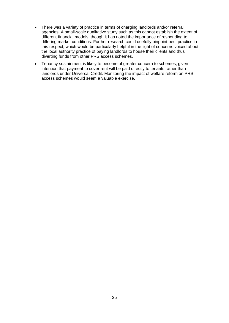- There was a variety of practice in terms of charging landlords and/or referral agencies. A small-scale qualitative study such as this cannot establish the extent of different financial models, though it has noted the importance of responding to differing market conditions. Further research could usefully pinpoint best practice in this respect, which would be particularly helpful in the light of concerns voiced about the local authority practice of paying landlords to house their clients and thus diverting funds from other PRS access schemes.
- Tenancy sustainment is likely to become of greater concern to schemes, given intention that payment to cover rent will be paid directly to tenants rather than landlords under Universal Credit. Monitoring the impact of welfare reform on PRS access schemes would seem a valuable exercise.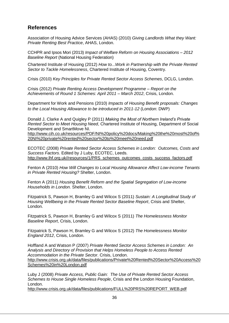## **References**

Association of Housing Advice Services (AHAS) (2010) *Giving Landlords What they Want: Private Renting Best Practice*, AHAS, London.

CCHPR and Ipsos Mori (2013) *Impact of Welfare Reform on Housing Associations – 2012 Baseline Report* (National Housing Federation)

Chartered Institute of Housing (2012) *How to...Work in Partnership with the Private Rented Sector to Tackle Homelessness*, Chartered Institute of Housing, Coventry.

Crisis (2010) *Key Principles for Private Rented Sector Access Schemes*, DCLG, London.

Crisis (2012) *Private Renting Access Development Programme – Report on the Achievements of Round 1 Schemes: April 2011 – March 2012*, Crisis, London.

Department for Work and Pensions (2010) *Impacts of Housing Benefit proposals: Changes to the Local Housing Allowance to be introduced in 2011-12* (London: DWP)

Donald J, Clarke A and Quigley P (2011) *Making the Most of Northern Ireland's Private Rented Sector to Meet Housing Need*, Chartered Institute of Housing, Department of Social Development and SmartMove NI.

[http://www.cih.co.uk/resources/PDF/NI%20policy%20docs/Making%20the%20most%20of%](http://www.cih.co.uk/resources/PDF/NI%20policy%20docs/Making%20the%20most%20of%20NI%20private%20rented%20sector%20to%20meet%20need.pdf) [20NI%20private%20rented%20sector%20to%20meet%20need.pdf](http://www.cih.co.uk/resources/PDF/NI%20policy%20docs/Making%20the%20most%20of%20NI%20private%20rented%20sector%20to%20meet%20need.pdf)

ECOTEC (2008) *Private Rented Sector Access Schemes in London: Outcomes, Costs and Success Factors*. Edited by J Luby, ECOTEC, Leeds. [http://www.lhf.org.uk//resources/1/PRS\\_schemes\\_outcomes\\_costs\\_success\\_factors.pdf](http://www.lhf.org.uk/resources/1/PRS_schemes_outcomes_costs_success_factors.pdf)

Fenton A (2010) *How Will Changes to Local Housing Allowance Affect Low-income Tenants in Private Rented Housing?* Shelter, London.

Fenton A (2011) *Housing Benefit Reform and the Spatial Segregation of Low-income Households in London.* Shelter, London.

Fitzpatrick S, Pawson H, Bramley G and Wilcox S (2011) *Sustain: A Longitudinal Study of Housing Wellbeing in the Private Rented Sector Baseline Report*, Crisis and Shelter, London.

Fitzpatrick S, Pawson H, Bramley G and Wilcox S (2011) *The Homelessness Monitor Baseline Report*, Crisis, London.

Fitzpatrick S, Pawson H, Bramley G and Wilcox S (2012) *The Homelessness Monitor England 2012*, Crisis, London.

Hoffland A and Watson P (2007) *Private Rented Sector Access Schemes in London: An Analysis and Directory of Provision that Helps Homeless People to Access Rented Accommodation in the Private Sector*. Crisis, London. [http://www.crisis.org.uk/data/files/publications/Private%20Rented%20Sector%20Access%20](http://www.crisis.org.uk/data/files/publications/Private%20Rented%20Sector%20Access%20Schemes%20in%20London.pdf) [Schemes%20in%20London.pdf](http://www.crisis.org.uk/data/files/publications/Private%20Rented%20Sector%20Access%20Schemes%20in%20London.pdf)

Luby J (2008) *Private Access, Public Gain: The Use of Private Rented Sector Access Schemes to House Single Homeless People*, Crisis and the London Housing Foundation, London.

[http://www.crisis.org.uk/data/files/publications/FULL%20PRS%20REPORT\\_WEB.pdf](http://www.crisis.org.uk/data/files/publications/FULL%20PRS%20REPORT_WEB.pdf)